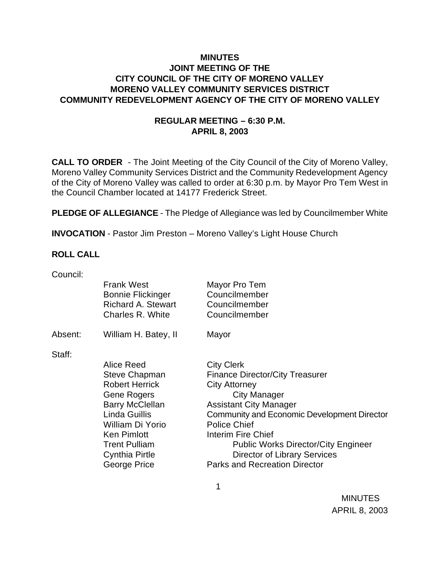## **MINUTES JOINT MEETING OF THE CITY COUNCIL OF THE CITY OF MORENO VALLEY MORENO VALLEY COMMUNITY SERVICES DISTRICT COMMUNITY REDEVELOPMENT AGENCY OF THE CITY OF MORENO VALLEY**

# **REGULAR MEETING – 6:30 P.M. APRIL 8, 2003**

**CALL TO ORDER** - The Joint Meeting of the City Council of the City of Moreno Valley, Moreno Valley Community Services District and the Community Redevelopment Agency of the City of Moreno Valley was called to order at 6:30 p.m. by Mayor Pro Tem West in the Council Chamber located at 14177 Frederick Street.

**PLEDGE OF ALLEGIANCE** - The Pledge of Allegiance was led by Councilmember White

**INVOCATION** - Pastor Jim Preston – Moreno Valley's Light House Church

## **ROLL CALL**

| Council: |                                               |                                                    |
|----------|-----------------------------------------------|----------------------------------------------------|
|          | <b>Frank West</b><br><b>Bonnie Flickinger</b> | Mayor Pro Tem<br>Councilmember                     |
|          | <b>Richard A. Stewart</b><br>Charles R. White | Councilmember<br>Councilmember                     |
| Absent:  | William H. Batey, II                          | Mayor                                              |
| Staff:   |                                               |                                                    |
|          | Alice Reed                                    | <b>City Clerk</b>                                  |
|          | <b>Steve Chapman</b>                          | <b>Finance Director/City Treasurer</b>             |
|          | <b>Robert Herrick</b>                         | <b>City Attorney</b>                               |
|          | Gene Rogers                                   | City Manager                                       |
|          | <b>Barry McClellan</b>                        | <b>Assistant City Manager</b>                      |
|          | Linda Guillis                                 | <b>Community and Economic Development Director</b> |
|          | William Di Yorio                              | <b>Police Chief</b>                                |
|          | <b>Ken Pimlott</b>                            | Interim Fire Chief                                 |
|          | <b>Trent Pulliam</b>                          | <b>Public Works Director/City Engineer</b>         |
|          | Cynthia Pirtle                                | <b>Director of Library Services</b>                |
|          | George Price                                  | <b>Parks and Recreation Director</b>               |
|          |                                               |                                                    |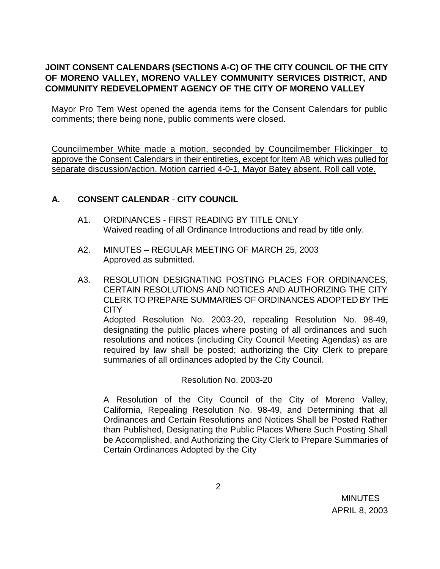# **JOINT CONSENT CALENDARS (SECTIONS A-C) OF THE CITY COUNCIL OF THE CITY OF MORENO VALLEY, MORENO VALLEY COMMUNITY SERVICES DISTRICT, AND COMMUNITY REDEVELOPMENT AGENCY OF THE CITY OF MORENO VALLEY**

Mayor Pro Tem West opened the agenda items for the Consent Calendars for public comments; there being none, public comments were closed.

Councilmember White made a motion, seconded by Councilmember Flickinger to approve the Consent Calendars in their entireties, except for Item A8 which was pulled for separate discussion/action. Motion carried 4-0-1, Mayor Batey absent. Roll call vote.

# **A. CONSENT CALENDAR** - **CITY COUNCIL**

- A1. ORDINANCES FIRST READING BY TITLE ONLY Waived reading of all Ordinance Introductions and read by title only.
- A2. MINUTES REGULAR MEETING OF MARCH 25, 2003 Approved as submitted.
- A3. RESOLUTION DESIGNATING POSTING PLACES FOR ORDINANCES, CERTAIN RESOLUTIONS AND NOTICES AND AUTHORIZING THE CITY CLERK TO PREPARE SUMMARIES OF ORDINANCES ADOPTED BY THE **CITY**

Adopted Resolution No. 2003-20, repealing Resolution No. 98-49, designating the public places where posting of all ordinances and such resolutions and notices (including City Council Meeting Agendas) as are required by law shall be posted; authorizing the City Clerk to prepare summaries of all ordinances adopted by the City Council.

Resolution No. 2003-20

A Resolution of the City Council of the City of Moreno Valley, California, Repealing Resolution No. 98-49, and Determining that all Ordinances and Certain Resolutions and Notices Shall be Posted Rather than Published, Designating the Public Places Where Such Posting Shall be Accomplished, and Authorizing the City Clerk to Prepare Summaries of Certain Ordinances Adopted by the City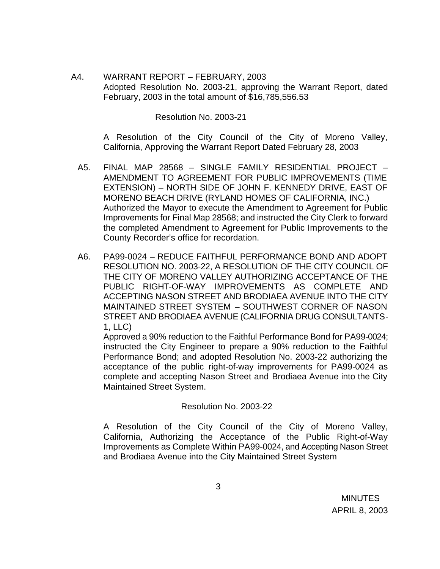A4. WARRANT REPORT – FEBRUARY, 2003 Adopted Resolution No. 2003-21, approving the Warrant Report, dated February, 2003 in the total amount of \$16,785,556.53

Resolution No. 2003-21

A Resolution of the City Council of the City of Moreno Valley, California, Approving the Warrant Report Dated February 28, 2003

- A5. FINAL MAP 28568 SINGLE FAMILY RESIDENTIAL PROJECT AMENDMENT TO AGREEMENT FOR PUBLIC IMPROVEMENTS (TIME EXTENSION) – NORTH SIDE OF JOHN F. KENNEDY DRIVE, EAST OF MORENO BEACH DRIVE (RYLAND HOMES OF CALIFORNIA, INC.) Authorized the Mayor to execute the Amendment to Agreement for Public Improvements for Final Map 28568; and instructed the City Clerk to forward the completed Amendment to Agreement for Public Improvements to the County Recorder's office for recordation.
- A6. PA99-0024 REDUCE FAITHFUL PERFORMANCE BOND AND ADOPT RESOLUTION NO. 2003-22, A RESOLUTION OF THE CITY COUNCIL OF THE CITY OF MORENO VALLEY AUTHORIZING ACCEPTANCE OF THE PUBLIC RIGHT-OF-WAY IMPROVEMENTS AS COMPLETE AND ACCEPTING NASON STREET AND BRODIAEA AVENUE INTO THE CITY MAINTAINED STREET SYSTEM – SOUTHWEST CORNER OF NASON STREET AND BRODIAEA AVENUE (CALIFORNIA DRUG CONSULTANTS-1, LLC)

Approved a 90% reduction to the Faithful Performance Bond for PA99-0024; instructed the City Engineer to prepare a 90% reduction to the Faithful Performance Bond; and adopted Resolution No. 2003-22 authorizing the acceptance of the public right-of-way improvements for PA99-0024 as complete and accepting Nason Street and Brodiaea Avenue into the City Maintained Street System.

### Resolution No. 2003-22

A Resolution of the City Council of the City of Moreno Valley, California, Authorizing the Acceptance of the Public Right-of-Way Improvements as Complete Within PA99-0024, and Accepting Nason Street and Brodiaea Avenue into the City Maintained Street System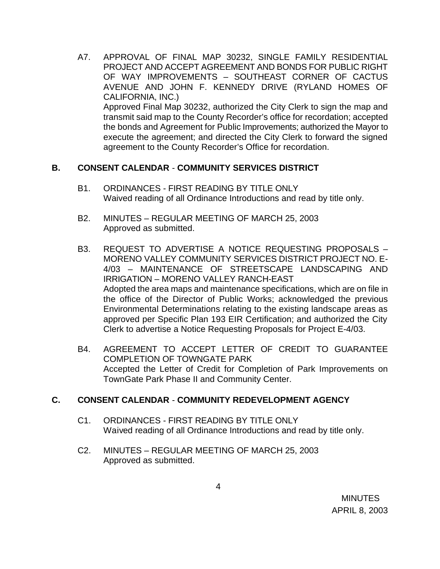A7. APPROVAL OF FINAL MAP 30232, SINGLE FAMILY RESIDENTIAL PROJECT AND ACCEPT AGREEMENT AND BONDS FOR PUBLIC RIGHT OF WAY IMPROVEMENTS – SOUTHEAST CORNER OF CACTUS AVENUE AND JOHN F. KENNEDY DRIVE (RYLAND HOMES OF CALIFORNIA, INC.) Approved Final Map 30232, authorized the City Clerk to sign the map and

transmit said map to the County Recorder's office for recordation; accepted the bonds and Agreement for Public Improvements; authorized the Mayor to execute the agreement; and directed the City Clerk to forward the signed agreement to the County Recorder's Office for recordation.

### **B. CONSENT CALENDAR** - **COMMUNITY SERVICES DISTRICT**

- B1. ORDINANCES FIRST READING BY TITLE ONLY Waived reading of all Ordinance Introductions and read by title only.
- B2. MINUTES REGULAR MEETING OF MARCH 25, 2003 Approved as submitted.
- B3. REQUEST TO ADVERTISE A NOTICE REQUESTING PROPOSALS MORENO VALLEY COMMUNITY SERVICES DISTRICT PROJECT NO. E-4/03 – MAINTENANCE OF STREETSCAPE LANDSCAPING AND IRRIGATION – MORENO VALLEY RANCH-EAST Adopted the area maps and maintenance specifications, which are on file in the office of the Director of Public Works; acknowledged the previous Environmental Determinations relating to the existing landscape areas as approved per Specific Plan 193 EIR Certification; and authorized the City Clerk to advertise a Notice Requesting Proposals for Project E-4/03.
- B4. AGREEMENT TO ACCEPT LETTER OF CREDIT TO GUARANTEE COMPLETION OF TOWNGATE PARK Accepted the Letter of Credit for Completion of Park Improvements on TownGate Park Phase II and Community Center.

# **C. CONSENT CALENDAR** - **COMMUNITY REDEVELOPMENT AGENCY**

- C1. ORDINANCES FIRST READING BY TITLE ONLY Waived reading of all Ordinance Introductions and read by title only.
- C2. MINUTES REGULAR MEETING OF MARCH 25, 2003 Approved as submitted.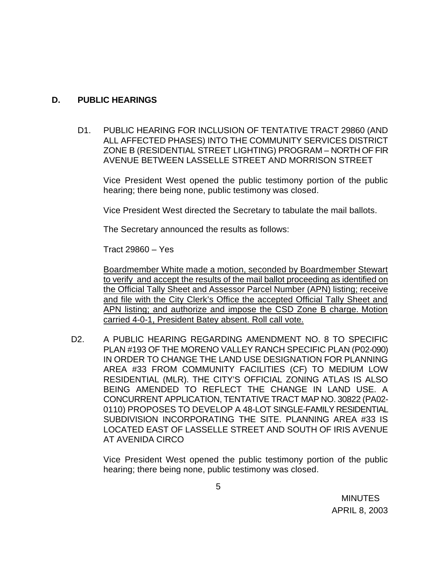### **D. PUBLIC HEARINGS**

D1. PUBLIC HEARING FOR INCLUSION OF TENTATIVE TRACT 29860 (AND ALL AFFECTED PHASES) INTO THE COMMUNITY SERVICES DISTRICT ZONE B (RESIDENTIAL STREET LIGHTING) PROGRAM – NORTH OF FIR AVENUE BETWEEN LASSELLE STREET AND MORRISON STREET

Vice President West opened the public testimony portion of the public hearing; there being none, public testimony was closed.

Vice President West directed the Secretary to tabulate the mail ballots.

The Secretary announced the results as follows:

Tract 29860 – Yes

Boardmember White made a motion, seconded by Boardmember Stewart to verify and accept the results of the mail ballot proceeding as identified on the Official Tally Sheet and Assessor Parcel Number (APN) listing; receive and file with the City Clerk's Office the accepted Official Tally Sheet and APN listing; and authorize and impose the CSD Zone B charge. Motion carried 4-0-1, President Batey absent. Roll call vote.

D2. A PUBLIC HEARING REGARDING AMENDMENT NO. 8 TO SPECIFIC PLAN #193 OF THE MORENO VALLEY RANCH SPECIFIC PLAN (P02-090) IN ORDER TO CHANGE THE LAND USE DESIGNATION FOR PLANNING AREA #33 FROM COMMUNITY FACILITIES (CF) TO MEDIUM LOW RESIDENTIAL (MLR). THE CITY'S OFFICIAL ZONING ATLAS IS ALSO BEING AMENDED TO REFLECT THE CHANGE IN LAND USE. A CONCURRENT APPLICATION, TENTATIVE TRACT MAP NO. 30822 (PA02- 0110) PROPOSES TO DEVELOP A 48-LOT SINGLE-FAMILY RESIDENTIAL SUBDIVISION INCORPORATING THE SITE. PLANNING AREA #33 IS LOCATED EAST OF LASSELLE STREET AND SOUTH OF IRIS AVENUE AT AVENIDA CIRCO

> Vice President West opened the public testimony portion of the public hearing; there being none, public testimony was closed.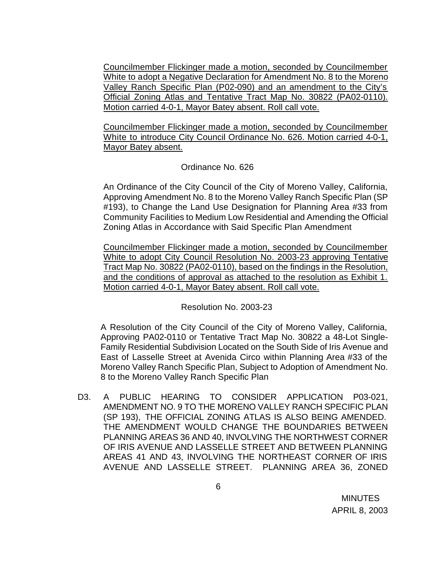Councilmember Flickinger made a motion, seconded by Councilmember White to adopt a Negative Declaration for Amendment No. 8 to the Moreno Valley Ranch Specific Plan (P02-090) and an amendment to the City's Official Zoning Atlas and Tentative Tract Map No. 30822 (PA02-0110). Motion carried 4-0-1, Mayor Batey absent. Roll call vote.

Councilmember Flickinger made a motion, seconded by Councilmember White to introduce City Council Ordinance No. 626. Motion carried 4-0-1, Mayor Batey absent.

## Ordinance No. 626

An Ordinance of the City Council of the City of Moreno Valley, California, Approving Amendment No. 8 to the Moreno Valley Ranch Specific Plan (SP #193), to Change the Land Use Designation for Planning Area #33 from Community Facilities to Medium Low Residential and Amending the Official Zoning Atlas in Accordance with Said Specific Plan Amendment

Councilmember Flickinger made a motion, seconded by Councilmember White to adopt City Council Resolution No. 2003-23 approving Tentative Tract Map No. 30822 (PA02-0110), based on the findings in the Resolution, and the conditions of approval as attached to the resolution as Exhibit 1. Motion carried 4-0-1, Mayor Batey absent. Roll call vote.

Resolution No. 2003-23

A Resolution of the City Council of the City of Moreno Valley, California, Approving PA02-0110 or Tentative Tract Map No. 30822 a 48-Lot Single-Family Residential Subdivision Located on the South Side of Iris Avenue and East of Lasselle Street at Avenida Circo within Planning Area #33 of the Moreno Valley Ranch Specific Plan, Subject to Adoption of Amendment No. 8 to the Moreno Valley Ranch Specific Plan

D3. A PUBLIC HEARING TO CONSIDER APPLICATION P03-021, AMENDMENT NO. 9 TO THE MORENO VALLEY RANCH SPECIFIC PLAN (SP 193), THE OFFICIAL ZONING ATLAS IS ALSO BEING AMENDED. THE AMENDMENT WOULD CHANGE THE BOUNDARIES BETWEEN PLANNING AREAS 36 AND 40, INVOLVING THE NORTHWEST CORNER OF IRIS AVENUE AND LASSELLE STREET AND BETWEEN PLANNING AREAS 41 AND 43, INVOLVING THE NORTHEAST CORNER OF IRIS AVENUE AND LASSELLE STREET. PLANNING AREA 36, ZONED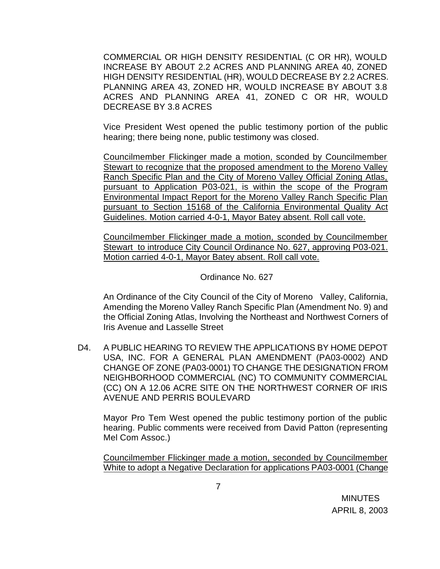COMMERCIAL OR HIGH DENSITY RESIDENTIAL (C OR HR), WOULD INCREASE BY ABOUT 2.2 ACRES AND PLANNING AREA 40, ZONED HIGH DENSITY RESIDENTIAL (HR), WOULD DECREASE BY 2.2 ACRES. PLANNING AREA 43, ZONED HR, WOULD INCREASE BY ABOUT 3.8 ACRES AND PLANNING AREA 41, ZONED C OR HR, WOULD DECREASE BY 3.8 ACRES

Vice President West opened the public testimony portion of the public hearing; there being none, public testimony was closed.

Councilmember Flickinger made a motion, sconded by Councilmember Stewart to recognize that the proposed amendment to the Moreno Valley Ranch Specific Plan and the City of Moreno Valley Official Zoning Atlas, pursuant to Application P03-021, is within the scope of the Program Environmental Impact Report for the Moreno Valley Ranch Specific Plan pursuant to Section 15168 of the California Environmental Quality Act Guidelines. Motion carried 4-0-1, Mayor Batey absent. Roll call vote.

Councilmember Flickinger made a motion, sconded by Councilmember Stewart to introduce City Council Ordinance No. 627, approving P03-021. Motion carried 4-0-1, Mayor Batey absent. Roll call vote.

Ordinance No. 627

An Ordinance of the City Council of the City of Moreno Valley, California, Amending the Moreno Valley Ranch Specific Plan (Amendment No. 9) and the Official Zoning Atlas, Involving the Northeast and Northwest Corners of Iris Avenue and Lasselle Street

D4. A PUBLIC HEARING TO REVIEW THE APPLICATIONS BY HOME DEPOT USA, INC. FOR A GENERAL PLAN AMENDMENT (PA03-0002) AND CHANGE OF ZONE (PA03-0001) TO CHANGE THE DESIGNATION FROM NEIGHBORHOOD COMMERCIAL (NC) TO COMMUNITY COMMERCIAL (CC) ON A 12.06 ACRE SITE ON THE NORTHWEST CORNER OF IRIS AVENUE AND PERRIS BOULEVARD

Mayor Pro Tem West opened the public testimony portion of the public hearing. Public comments were received from David Patton (representing Mel Com Assoc.)

Councilmember Flickinger made a motion, seconded by Councilmember White to adopt a Negative Declaration for applications PA03-0001 (Change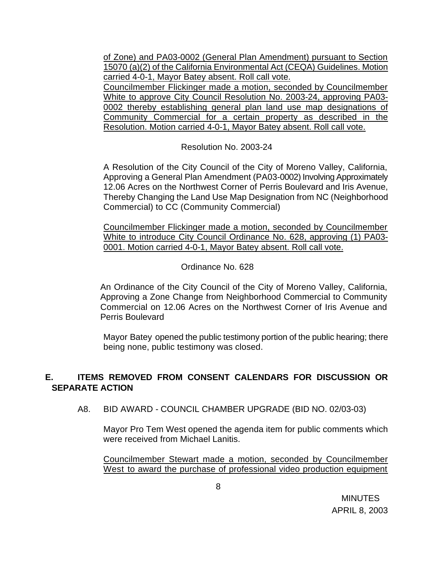of Zone) and PA03-0002 (General Plan Amendment) pursuant to Section 15070 (a)(2) of the California Environmental Act (CEQA) Guidelines. Motion carried 4-0-1, Mayor Batey absent. Roll call vote.

Councilmember Flickinger made a motion, seconded by Councilmember White to approve City Council Resolution No. 2003-24, approving PA03- 0002 thereby establishing general plan land use map designations of Community Commercial for a certain property as described in the Resolution. Motion carried 4-0-1, Mayor Batey absent. Roll call vote.

Resolution No. 2003-24

A Resolution of the City Council of the City of Moreno Valley, California, Approving a General Plan Amendment (PA03-0002) Involving Approximately 12.06 Acres on the Northwest Corner of Perris Boulevard and Iris Avenue, Thereby Changing the Land Use Map Designation from NC (Neighborhood Commercial) to CC (Community Commercial)

Councilmember Flickinger made a motion, seconded by Councilmember White to introduce City Council Ordinance No. 628, approving (1) PA03- 0001. Motion carried 4-0-1, Mayor Batey absent. Roll call vote.

Ordinance No. 628

An Ordinance of the City Council of the City of Moreno Valley, California, Approving a Zone Change from Neighborhood Commercial to Community Commercial on 12.06 Acres on the Northwest Corner of Iris Avenue and Perris Boulevard

Mayor Batey opened the public testimony portion of the public hearing; there being none, public testimony was closed.

# **E. ITEMS REMOVED FROM CONSENT CALENDARS FOR DISCUSSION OR SEPARATE ACTION**

A8. BID AWARD - COUNCIL CHAMBER UPGRADE (BID NO. 02/03-03)

Mayor Pro Tem West opened the agenda item for public comments which were received from Michael Lanitis.

Councilmember Stewart made a motion, seconded by Councilmember West to award the purchase of professional video production equipment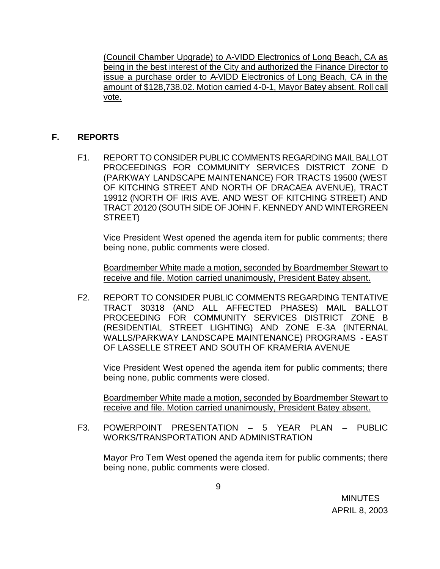(Council Chamber Upgrade) to A-VIDD Electronics of Long Beach, CA as being in the best interest of the City and authorized the Finance Director to issue a purchase order to A-VIDD Electronics of Long Beach, CA in the amount of \$128,738.02. Motion carried 4-0-1, Mayor Batey absent. Roll call vote.

# **F. REPORTS**

F1. REPORT TO CONSIDER PUBLIC COMMENTS REGARDING MAIL BALLOT PROCEEDINGS FOR COMMUNITY SERVICES DISTRICT ZONE D (PARKWAY LANDSCAPE MAINTENANCE) FOR TRACTS 19500 (WEST OF KITCHING STREET AND NORTH OF DRACAEA AVENUE), TRACT 19912 (NORTH OF IRIS AVE. AND WEST OF KITCHING STREET) AND TRACT 20120 (SOUTH SIDE OF JOHN F. KENNEDY AND WINTERGREEN STREET)

Vice President West opened the agenda item for public comments; there being none, public comments were closed.

Boardmember White made a motion, seconded by Boardmember Stewart to receive and file. Motion carried unanimously, President Batey absent.

F2. REPORT TO CONSIDER PUBLIC COMMENTS REGARDING TENTATIVE TRACT 30318 (AND ALL AFFECTED PHASES) MAIL BALLOT PROCEEDING FOR COMMUNITY SERVICES DISTRICT ZONE B (RESIDENTIAL STREET LIGHTING) AND ZONE E-3A (INTERNAL WALLS/PARKWAY LANDSCAPE MAINTENANCE) PROGRAMS - EAST OF LASSELLE STREET AND SOUTH OF KRAMERIA AVENUE

Vice President West opened the agenda item for public comments; there being none, public comments were closed.

Boardmember White made a motion, seconded by Boardmember Stewart to receive and file. Motion carried unanimously, President Batey absent.

F3. POWERPOINT PRESENTATION – 5 YEAR PLAN – PUBLIC WORKS/TRANSPORTATION AND ADMINISTRATION

Mayor Pro Tem West opened the agenda item for public comments; there being none, public comments were closed.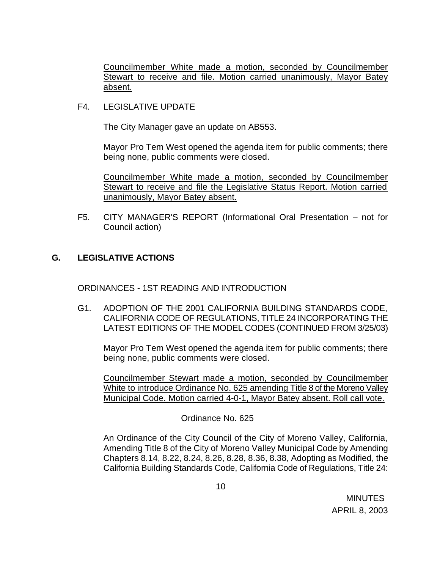Councilmember White made a motion, seconded by Councilmember Stewart to receive and file. Motion carried unanimously, Mayor Batey absent.

F4. LEGISLATIVE UPDATE

The City Manager gave an update on AB553.

Mayor Pro Tem West opened the agenda item for public comments; there being none, public comments were closed.

Councilmember White made a motion, seconded by Councilmember Stewart to receive and file the Legislative Status Report. Motion carried unanimously, Mayor Batey absent.

F5. CITY MANAGER'S REPORT (Informational Oral Presentation – not for Council action)

# **G. LEGISLATIVE ACTIONS**

ORDINANCES - 1ST READING AND INTRODUCTION

G1. ADOPTION OF THE 2001 CALIFORNIA BUILDING STANDARDS CODE, CALIFORNIA CODE OF REGULATIONS, TITLE 24 INCORPORATING THE LATEST EDITIONS OF THE MODEL CODES (CONTINUED FROM 3/25/03)

Mayor Pro Tem West opened the agenda item for public comments; there being none, public comments were closed.

Councilmember Stewart made a motion, seconded by Councilmember White to introduce Ordinance No. 625 amending Title 8 of the Moreno Valley Municipal Code. Motion carried 4-0-1, Mayor Batey absent. Roll call vote.

Ordinance No. 625

An Ordinance of the City Council of the City of Moreno Valley, California, Amending Title 8 of the City of Moreno Valley Municipal Code by Amending Chapters 8.14, 8.22, 8.24, 8.26, 8.28, 8.36, 8.38, Adopting as Modified, the California Building Standards Code, California Code of Regulations, Title 24: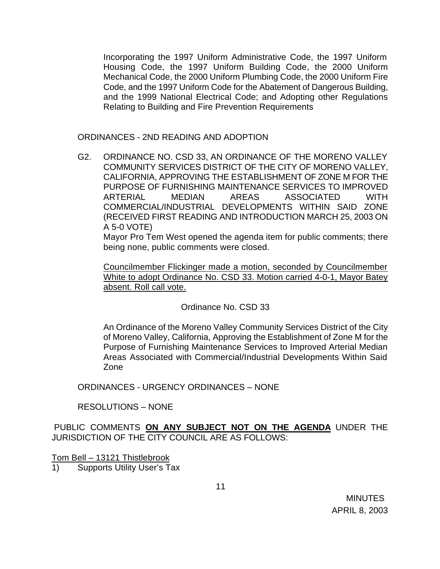Incorporating the 1997 Uniform Administrative Code, the 1997 Uniform Housing Code, the 1997 Uniform Building Code, the 2000 Uniform Mechanical Code, the 2000 Uniform Plumbing Code, the 2000 Uniform Fire Code, and the 1997 Uniform Code for the Abatement of Dangerous Building, and the 1999 National Electrical Code; and Adopting other Regulations Relating to Building and Fire Prevention Requirements

ORDINANCES - 2ND READING AND ADOPTION

G2. ORDINANCE NO. CSD 33, AN ORDINANCE OF THE MORENO VALLEY COMMUNITY SERVICES DISTRICT OF THE CITY OF MORENO VALLEY, CALIFORNIA, APPROVING THE ESTABLISHMENT OF ZONE M FOR THE PURPOSE OF FURNISHING MAINTENANCE SERVICES TO IMPROVED ARTERIAL MEDIAN AREAS ASSOCIATED WITH COMMERCIAL/INDUSTRIAL DEVELOPMENTS WITHIN SAID ZONE (RECEIVED FIRST READING AND INTRODUCTION MARCH 25, 2003 ON A 5-0 VOTE)

Mayor Pro Tem West opened the agenda item for public comments; there being none, public comments were closed.

Councilmember Flickinger made a motion, seconded by Councilmember White to adopt Ordinance No. CSD 33. Motion carried 4-0-1, Mayor Batey absent. Roll call vote.

Ordinance No. CSD 33

An Ordinance of the Moreno Valley Community Services District of the City of Moreno Valley, California, Approving the Establishment of Zone M for the Purpose of Furnishing Maintenance Services to Improved Arterial Median Areas Associated with Commercial/Industrial Developments Within Said Zone

ORDINANCES - URGENCY ORDINANCES – NONE

RESOLUTIONS – NONE

PUBLIC COMMENTS **ON ANY SUBJECT NOT ON THE AGENDA** UNDER THE JURISDICTION OF THE CITY COUNCIL ARE AS FOLLOWS:

Tom Bell – 13121 Thistlebrook

1) Supports Utility User's Tax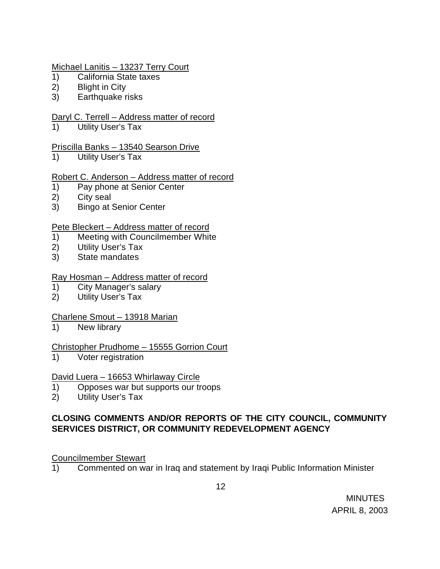## Michael Lanitis – 13237 Terry Court

- 1) California State taxes
- 2) Blight in City
- 3) Earthquake risks

## Daryl C. Terrell – Address matter of record

1) Utility User's Tax

## Priscilla Banks – 13540 Searson Drive

1) Utility User's Tax

## Robert C. Anderson – Address matter of record

- 1) Pay phone at Senior Center
- 2) City seal
- 3) Bingo at Senior Center

### Pete Bleckert – Address matter of record

- 1) Meeting with Councilmember White
- 2) Utility User's Tax
- 3) State mandates

### Ray Hosman – Address matter of record

- 1) City Manager's salary
- 2) Utility User's Tax

### Charlene Smout – 13918 Marian

1) New library

### Christopher Prudhome – 15555 Gorrion Court

1) Voter registration

### David Luera – 16653 Whirlaway Circle

- 1) Opposes war but supports our troops
- 2) Utility User's Tax

# **CLOSING COMMENTS AND/OR REPORTS OF THE CITY COUNCIL, COMMUNITY SERVICES DISTRICT, OR COMMUNITY REDEVELOPMENT AGENCY**

### Councilmember Stewart

1) Commented on war in Iraq and statement by Iraqi Public Information Minister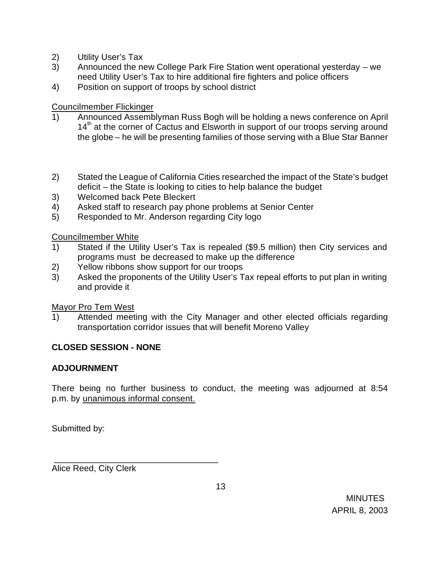- 2) Utility User's Tax
- 3) Announced the new College Park Fire Station went operational yesterday we need Utility User's Tax to hire additional fire fighters and police officers
- 4) Position on support of troops by school district

# Councilmember Flickinger

- 1) Announced Assemblyman Russ Bogh will be holding a news conference on April 14<sup>th</sup> at the corner of Cactus and Elsworth in support of our troops serving around the globe – he will be presenting families of those serving with a Blue Star Banner
- 2) Stated the League of California Cities researched the impact of the State's budget deficit – the State is looking to cities to help balance the budget
- 3) Welcomed back Pete Bleckert
- 4) Asked staff to research pay phone problems at Senior Center
- 5) Responded to Mr. Anderson regarding City logo

Councilmember White

- 1) Stated if the Utility User's Tax is repealed (\$9.5 million) then City services and programs must be decreased to make up the difference
- 2) Yellow ribbons show support for our troops
- 3) Asked the proponents of the Utility User's Tax repeal efforts to put plan in writing and provide it

Mayor Pro Tem West

1) Attended meeting with the City Manager and other elected officials regarding transportation corridor issues that will benefit Moreno Valley

# **CLOSED SESSION - NONE**

# **ADJOURNMENT**

There being no further business to conduct, the meeting was adjourned at 8:54 p.m. by unanimous informal consent.

Submitted by:

Alice Reed, City Clerk

\_\_\_\_\_\_\_\_\_\_\_\_\_\_\_\_\_\_\_\_\_\_\_\_\_\_\_\_\_\_\_\_\_\_